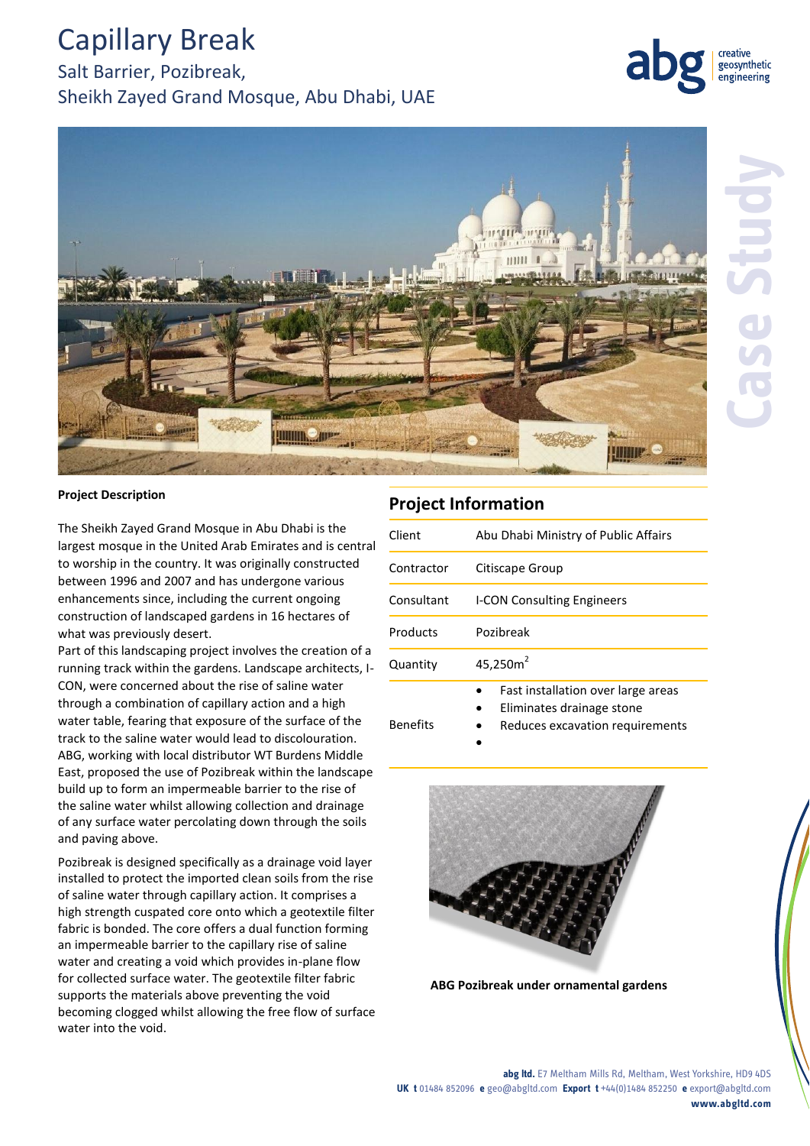# Capillary Break

Salt Barrier, Pozibreak, Sheikh Zayed Grand Mosque, Abu Dhabi, UAE



geosynthetic engineering

#### **Project Description**

The Sheikh Zayed Grand Mosque in Abu Dhabi is the largest mosque in the United Arab Emirates and is central to worship in the country. It was originally constructed between 1996 and 2007 and has undergone various enhancements since, including the current ongoing construction of landscaped gardens in 16 hectares of what was previously desert.

Part of this landscaping project involves the creation of a running track within the gardens. Landscape architects, I-CON, were concerned about the rise of saline water through a combination of capillary action and a high water table, fearing that exposure of the surface of the track to the saline water would lead to discolouration. ABG, working with local distributor WT Burdens Middle East, proposed the use of Pozibreak within the landscape build up to form an impermeable barrier to the rise of the saline water whilst allowing collection and drainage of any surface water percolating down through the soils and paving above.

Pozibreak is designed specifically as a drainage void layer installed to protect the imported clean soils from the rise of saline water through capillary action. It comprises a high strength cuspated core onto which a geotextile filter fabric is bonded. The core offers a dual function forming an impermeable barrier to the capillary rise of saline water and creating a void which provides in-plane flow for collected surface water. The geotextile filter fabric supports the materials above preventing the void becoming clogged whilst allowing the free flow of surface water into the void.

### **Project Information**

 $\bullet$ 

| Client          | Abu Dhabi Ministry of Public Affairs                                                               |
|-----------------|----------------------------------------------------------------------------------------------------|
| Contractor      | Citiscape Group                                                                                    |
| Consultant      | <b>I-CON Consulting Engineers</b>                                                                  |
| Products        | Pozibreak                                                                                          |
| Quantity        | 45,250 $m2$                                                                                        |
| <b>Benefits</b> | Fast installation over large areas<br>Eliminates drainage stone<br>Reduces excavation requirements |



**ABG Pozibreak under ornamental gardens**